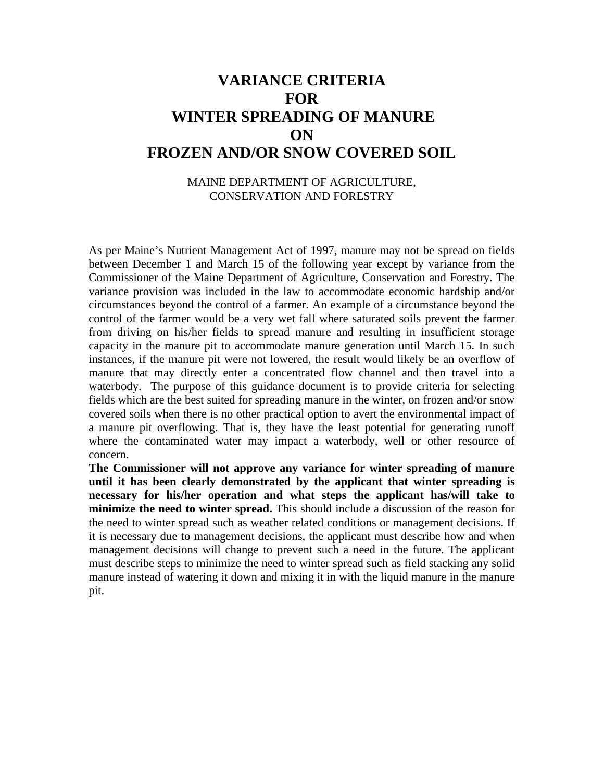## **VARIANCE CRITERIA FOR WINTER SPREADING OF MANURE ON FROZEN AND/OR SNOW COVERED SOIL**

## MAINE DEPARTMENT OF AGRICULTURE, CONSERVATION AND FORESTRY

As per Maine's Nutrient Management Act of 1997, manure may not be spread on fields between December 1 and March 15 of the following year except by variance from the Commissioner of the Maine Department of Agriculture, Conservation and Forestry. The variance provision was included in the law to accommodate economic hardship and/or circumstances beyond the control of a farmer. An example of a circumstance beyond the control of the farmer would be a very wet fall where saturated soils prevent the farmer from driving on his/her fields to spread manure and resulting in insufficient storage capacity in the manure pit to accommodate manure generation until March 15. In such instances, if the manure pit were not lowered, the result would likely be an overflow of manure that may directly enter a concentrated flow channel and then travel into a waterbody. The purpose of this guidance document is to provide criteria for selecting fields which are the best suited for spreading manure in the winter, on frozen and/or snow covered soils when there is no other practical option to avert the environmental impact of a manure pit overflowing. That is, they have the least potential for generating runoff where the contaminated water may impact a waterbody, well or other resource of concern.

**The Commissioner will not approve any variance for winter spreading of manure until it has been clearly demonstrated by the applicant that winter spreading is necessary for his/her operation and what steps the applicant has/will take to minimize the need to winter spread.** This should include a discussion of the reason for the need to winter spread such as weather related conditions or management decisions. If it is necessary due to management decisions, the applicant must describe how and when management decisions will change to prevent such a need in the future. The applicant must describe steps to minimize the need to winter spread such as field stacking any solid manure instead of watering it down and mixing it in with the liquid manure in the manure pit.